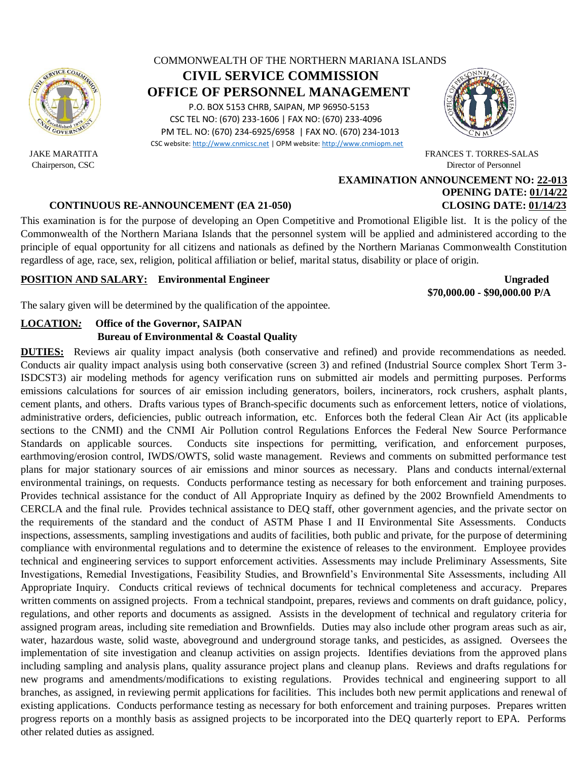

## COMMONWEALTH OF THE NORTHERN MARIANA ISLANDS **CIVIL SERVICE COMMISSION OFFICE OF PERSONNEL MANAGEMENT** P.O. BOX 5153 CHRB, SAIPAN, MP 96950-5153 CSC TEL NO: (670) 233-1606 | FAX NO: (670) 233-4096 PM TEL. NO: (670) 234-6925/6958 | FAX NO. (670) 234-1013

CSC website[: http://www.cnmicsc.net](http://www.cnmicsc.net/) | OPM website[: http://www.cnmiopm.net](http://www.cnmiopm.net/)



 JAKE MARATITA FRANCES T. TORRES-SALAS Chairperson, CSC Director of Personnel

# **EXAMINATION ANNOUNCEMENT NO: 22-013 OPENING DATE: 01/14/22**

## **CONTINUOUS RE-ANNOUNCEMENT (EA 21-050) CLOSING DATE: 01/14/23**

This examination is for the purpose of developing an Open Competitive and Promotional Eligible list. It is the policy of the Commonwealth of the Northern Mariana Islands that the personnel system will be applied and administered according to the principle of equal opportunity for all citizens and nationals as defined by the Northern Marianas Commonwealth Constitution regardless of age, race, sex, religion, political affiliation or belief, marital status, disability or place of origin.

## **POSITION AND SALARY:** Environmental Engineer Ungraded

 **\$70,000.00 - \$90,000.00 P/A**

The salary given will be determined by the qualification of the appointee.

## **LOCATION***:* **Office of the Governor, SAIPAN Bureau of Environmental & Coastal Quality**

**DUTIES:** Reviews air quality impact analysis (both conservative and refined) and provide recommendations as needed. Conducts air quality impact analysis using both conservative (screen 3) and refined (Industrial Source complex Short Term 3- ISDCST3) air modeling methods for agency verification runs on submitted air models and permitting purposes. Performs emissions calculations for sources of air emission including generators, boilers, incinerators, rock crushers, asphalt plants, cement plants, and others. Drafts various types of Branch-specific documents such as enforcement letters, notice of violations, administrative orders, deficiencies, public outreach information, etc. Enforces both the federal Clean Air Act (its applicable sections to the CNMI) and the CNMI Air Pollution control Regulations Enforces the Federal New Source Performance Standards on applicable sources. Conducts site inspections for permitting, verification, and enforcement purposes, earthmoving/erosion control, IWDS/OWTS, solid waste management. Reviews and comments on submitted performance test plans for major stationary sources of air emissions and minor sources as necessary. Plans and conducts internal/external environmental trainings, on requests. Conducts performance testing as necessary for both enforcement and training purposes. Provides technical assistance for the conduct of All Appropriate Inquiry as defined by the 2002 Brownfield Amendments to CERCLA and the final rule. Provides technical assistance to DEQ staff, other government agencies, and the private sector on the requirements of the standard and the conduct of ASTM Phase I and II Environmental Site Assessments. Conducts inspections, assessments, sampling investigations and audits of facilities, both public and private, for the purpose of determining compliance with environmental regulations and to determine the existence of releases to the environment. Employee provides technical and engineering services to support enforcement activities. Assessments may include Preliminary Assessments, Site Investigations, Remedial Investigations, Feasibility Studies, and Brownfield's Environmental Site Assessments, including All Appropriate Inquiry. Conducts critical reviews of technical documents for technical completeness and accuracy. Prepares written comments on assigned projects. From a technical standpoint, prepares, reviews and comments on draft guidance, policy, regulations, and other reports and documents as assigned. Assists in the development of technical and regulatory criteria for assigned program areas, including site remediation and Brownfields. Duties may also include other program areas such as air, water, hazardous waste, solid waste, aboveground and underground storage tanks, and pesticides, as assigned. Oversees the implementation of site investigation and cleanup activities on assign projects. Identifies deviations from the approved plans including sampling and analysis plans, quality assurance project plans and cleanup plans. Reviews and drafts regulations for new programs and amendments/modifications to existing regulations. Provides technical and engineering support to all branches, as assigned, in reviewing permit applications for facilities. This includes both new permit applications and renewal of existing applications. Conducts performance testing as necessary for both enforcement and training purposes. Prepares written progress reports on a monthly basis as assigned projects to be incorporated into the DEQ quarterly report to EPA. Performs other related duties as assigned.